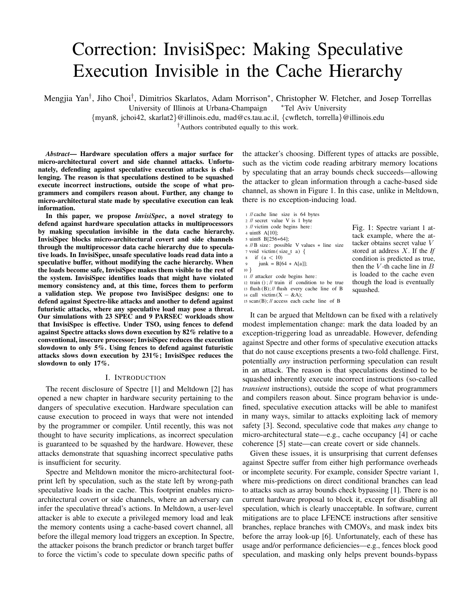# Correction: InvisiSpec: Making Speculative Execution Invisible in the Cache Hierarchy

Mengjia Yan<sup>†</sup>, Jiho Choi<sup>†</sup>, Dimitrios Skarlatos, Adam Morrison\*, Christopher W. Fletcher, and Josep Torrellas

University of Illinois at Urbana-Champaign \*Tel Aviv University

{myan8, jchoi42, skarlat2}@illinois.edu, mad@cs.tau.ac.il, {cwfletch, torrella}@illinois.edu

†Authors contributed equally to this work.

*Abstract*— Hardware speculation offers a major surface for micro-architectural covert and side channel attacks. Unfortunately, defending against speculative execution attacks is challenging. The reason is that speculations destined to be squashed execute incorrect instructions, outside the scope of what programmers and compilers reason about. Further, any change to micro-architectural state made by speculative execution can leak information.

In this paper, we propose *InvisiSpec*, a novel strategy to defend against hardware speculation attacks in multiprocessors by making speculation invisible in the data cache hierarchy. InvisiSpec blocks micro-architectural covert and side channels through the multiprocessor data cache hierarchy due to speculative loads. In InvisiSpec, unsafe speculative loads read data into a speculative buffer, without modifying the cache hierarchy. When the loads become safe, InvisiSpec makes them visible to the rest of the system. InvisiSpec identifies loads that might have violated memory consistency and, at this time, forces them to perform a validation step. We propose two InvisiSpec designs: one to defend against Spectre-like attacks and another to defend against futuristic attacks, where any speculative load may pose a threat. Our simulations with 23 SPEC and 9 PARSEC workloads show that InvisiSpec is effective. Under TSO, using fences to defend against Spectre attacks slows down execution by 82% relative to a conventional, insecure processor; InvisiSpec reduces the execution slowdown to only 5%. Using fences to defend against futuristic attacks slows down execution by 231%; InvisiSpec reduces the slowdown to only 17%.

#### I. INTRODUCTION

The recent disclosure of Spectre [1] and Meltdown [2] has opened a new chapter in hardware security pertaining to the dangers of speculative execution. Hardware speculation can cause execution to proceed in ways that were not intended by the programmer or compiler. Until recently, this was not thought to have security implications, as incorrect speculation is guaranteed to be squashed by the hardware. However, these attacks demonstrate that squashing incorrect speculative paths is insufficient for security.

Spectre and Meltdown monitor the micro-architectural footprint left by speculation, such as the state left by wrong-path speculative loads in the cache. This footprint enables microarchitectural covert or side channels, where an adversary can infer the speculative thread's actions. In Meltdown, a user-level attacker is able to execute a privileged memory load and leak the memory contents using a cache-based covert channel, all before the illegal memory load triggers an exception. In Spectre, the attacker poisons the branch predictor or branch target buffer to force the victim's code to speculate down specific paths of

the attacker's choosing. Different types of attacks are possible, such as the victim code reading arbitrary memory locations by speculating that an array bounds check succeeds—allowing the attacker to glean information through a cache-based side channel, as shown in Figure 1. In this case, unlike in Meltdown, there is no exception-inducing load.

1 // cache line size is 64 bytes 2 // secret value V is 1 byte 3 // victim code begins here : 4 uint8 A[10]; <sup>5</sup> uint8 B[256∗64]; <sup>6</sup> // B size : possible V values ∗ line size 7 void victim (size\_t a) { if  $(a < 10)$  $junk = B[64 * A[a]]$ ; 10 } 11 // attacker code begins here : 12 train  $()$ ; // train if condition to be true 13 flush (B); // flush every cache line of B 14 call victim  $(X - \&A);$ 

15 scan(B); // access each cache line of B

Fig. 1: Spectre variant 1 attack example, where the attacker obtains secret value V stored at address X. If the *If* condition is predicted as true, then the  $V$ -th cache line in  $B$ is loaded to the cache even though the load is eventually squashed.

It can be argued that Meltdown can be fixed with a relatively modest implementation change: mark the data loaded by an exception-triggering load as unreadable. However, defending against Spectre and other forms of speculative execution attacks that do not cause exceptions presents a two-fold challenge. First, potentially *any* instruction performing speculation can result in an attack. The reason is that speculations destined to be squashed inherently execute incorrect instructions (so-called *transient* instructions), outside the scope of what programmers and compilers reason about. Since program behavior is undefined, speculative execution attacks will be able to manifest in many ways, similar to attacks exploiting lack of memory safety [3]. Second, speculative code that makes *any* change to micro-architectural state—e.g., cache occupancy [4] or cache coherence [5] state—can create covert or side channels.

Given these issues, it is unsurprising that current defenses against Spectre suffer from either high performance overheads or incomplete security. For example, consider Spectre variant 1, where mis-predictions on direct conditional branches can lead to attacks such as array bounds check bypassing [1]. There is no current hardware proposal to block it, except for disabling all speculation, which is clearly unacceptable. In software, current mitigations are to place LFENCE instructions after sensitive branches, replace branches with CMOVs, and mask index bits before the array look-up [6]. Unfortunately, each of these has usage and/or performance deficiencies—e.g., fences block good speculation, and masking only helps prevent bounds-bypass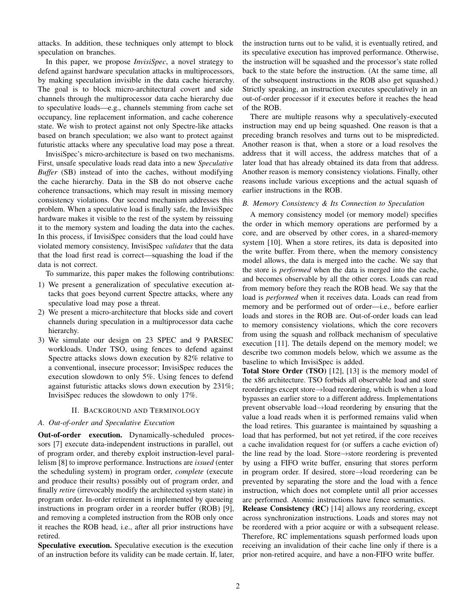attacks. In addition, these techniques only attempt to block speculation on branches.

In this paper, we propose *InvisiSpec*, a novel strategy to defend against hardware speculation attacks in multiprocessors, by making speculation invisible in the data cache hierarchy. The goal is to block micro-architectural covert and side channels through the multiprocessor data cache hierarchy due to speculative loads—e.g., channels stemming from cache set occupancy, line replacement information, and cache coherence state. We wish to protect against not only Spectre-like attacks based on branch speculation; we also want to protect against futuristic attacks where any speculative load may pose a threat.

InvisiSpec's micro-architecture is based on two mechanisms. First, unsafe speculative loads read data into a new *Speculative Buffer* (SB) instead of into the caches, without modifying the cache hierarchy. Data in the SB do not observe cache coherence transactions, which may result in missing memory consistency violations. Our second mechanism addresses this problem. When a speculative load is finally safe, the InvisiSpec hardware makes it visible to the rest of the system by reissuing it to the memory system and loading the data into the caches. In this process, if InvisiSpec considers that the load could have violated memory consistency, InvisiSpec *validates* that the data that the load first read is correct—squashing the load if the data is not correct.

To summarize, this paper makes the following contributions:

- 1) We present a generalization of speculative execution attacks that goes beyond current Spectre attacks, where any speculative load may pose a threat.
- 2) We present a micro-architecture that blocks side and covert channels during speculation in a multiprocessor data cache hierarchy.
- 3) We simulate our design on 23 SPEC and 9 PARSEC workloads. Under TSO, using fences to defend against Spectre attacks slows down execution by 82% relative to a conventional, insecure processor; InvisiSpec reduces the execution slowdown to only 5%. Using fences to defend against futuristic attacks slows down execution by 231%; InvisiSpec reduces the slowdown to only 17%.

#### II. BACKGROUND AND TERMINOLOGY

#### *A. Out-of-order and Speculative Execution*

Out-of-order execution. Dynamically-scheduled processors [7] execute data-independent instructions in parallel, out of program order, and thereby exploit instruction-level parallelism [8] to improve performance. Instructions are *issued* (enter the scheduling system) in program order, *complete* (execute and produce their results) possibly out of program order, and finally *retire* (irrevocably modify the architected system state) in program order. In-order retirement is implemented by queueing instructions in program order in a reorder buffer (ROB) [9], and removing a completed instruction from the ROB only once it reaches the ROB head, i.e., after all prior instructions have retired.

Speculative execution. Speculative execution is the execution of an instruction before its validity can be made certain. If, later, the instruction turns out to be valid, it is eventually retired, and its speculative execution has improved performance. Otherwise, the instruction will be squashed and the processor's state rolled back to the state before the instruction. (At the same time, all of the subsequent instructions in the ROB also get squashed.) Strictly speaking, an instruction executes speculatively in an out-of-order processor if it executes before it reaches the head of the ROB.

There are multiple reasons why a speculatively-executed instruction may end up being squashed. One reason is that a preceding branch resolves and turns out to be mispredicted. Another reason is that, when a store or a load resolves the address that it will access, the address matches that of a later load that has already obtained its data from that address. Another reason is memory consistency violations. Finally, other reasons include various exceptions and the actual squash of earlier instructions in the ROB.

#### *B. Memory Consistency & Its Connection to Speculation*

A memory consistency model (or memory model) specifies the order in which memory operations are performed by a core, and are observed by other cores, in a shared-memory system [10]. When a store retires, its data is deposited into the write buffer. From there, when the memory consistency model allows, the data is merged into the cache. We say that the store is *performed* when the data is merged into the cache, and becomes observable by all the other cores. Loads can read from memory before they reach the ROB head. We say that the load is *performed* when it receives data. Loads can read from memory and be performed out of order—i.e., before earlier loads and stores in the ROB are. Out-of-order loads can lead to memory consistency violations, which the core recovers from using the squash and rollback mechanism of speculative execution [11]. The details depend on the memory model; we describe two common models below, which we assume as the baseline to which InvisiSpec is added.

Total Store Order (TSO) [12], [13] is the memory model of the x86 architecture. TSO forbids all observable load and store reorderings except store→load reordering, which is when a load bypasses an earlier store to a different address. Implementations prevent observable load→load reordering by ensuring that the value a load reads when it is performed remains valid when the load retires. This guarantee is maintained by squashing a load that has performed, but not yet retired, if the core receives a cache invalidation request for (or suffers a cache eviction of) the line read by the load. Store→store reordering is prevented by using a FIFO write buffer, ensuring that stores perform in program order. If desired, store→load reordering can be prevented by separating the store and the load with a fence instruction, which does not complete until all prior accesses are performed. Atomic instructions have fence semantics.

Release Consistency (RC) [14] allows any reordering, except across synchronization instructions. Loads and stores may not be reordered with a prior acquire or with a subsequent release. Therefore, RC implementations squash performed loads upon receiving an invalidation of their cache line only if there is a prior non-retired acquire, and have a non-FIFO write buffer.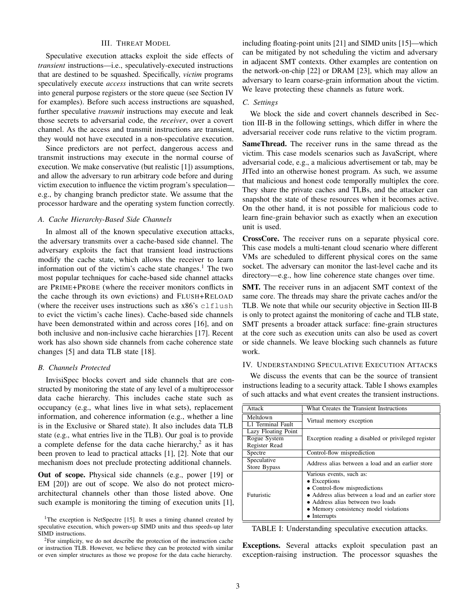## III. THREAT MODEL

Speculative execution attacks exploit the side effects of *transient* instructions—i.e., speculatively-executed instructions that are destined to be squashed. Specifically, *victim* programs speculatively execute *access* instructions that can write secrets into general purpose registers or the store queue (see Section IV for examples). Before such access instructions are squashed, further speculative *transmit* instructions may execute and leak those secrets to adversarial code, the *receiver*, over a covert channel. As the access and transmit instructions are transient, they would not have executed in a non-speculative execution.

Since predictors are not perfect, dangerous access and transmit instructions may execute in the normal course of execution. We make conservative (but realistic [1]) assumptions, and allow the adversary to run arbitrary code before and during victim execution to influence the victim program's speculation e.g., by changing branch predictor state. We assume that the processor hardware and the operating system function correctly.

## *A. Cache Hierarchy-Based Side Channels*

In almost all of the known speculative execution attacks, the adversary transmits over a cache-based side channel. The adversary exploits the fact that transient load instructions modify the cache state, which allows the receiver to learn information out of the victim's cache state changes.<sup>1</sup> The two most popular techniques for cache-based side channel attacks are PRIME+PROBE (where the receiver monitors conflicts in the cache through its own evictions) and FLUSH+RELOAD (where the receiver uses instructions such as x86's clflush to evict the victim's cache lines). Cache-based side channels have been demonstrated within and across cores [16], and on both inclusive and non-inclusive cache hierarchies [17]. Recent work has also shown side channels from cache coherence state changes [5] and data TLB state [18].

## *B. Channels Protected*

InvisiSpec blocks covert and side channels that are constructed by monitoring the state of any level of a multiprocessor data cache hierarchy. This includes cache state such as occupancy (e.g., what lines live in what sets), replacement information, and coherence information (e.g., whether a line is in the Exclusive or Shared state). It also includes data TLB state (e.g., what entries live in the TLB). Our goal is to provide a complete defense for the data cache hierarchy, $2$  as it has been proven to lead to practical attacks [1], [2]. Note that our mechanism does not preclude protecting additional channels.

Out of scope. Physical side channels (e.g., power [19] or EM [20]) are out of scope. We also do not protect microarchitectural channels other than those listed above. One such example is monitoring the timing of execution units [1],

<sup>1</sup>The exception is NetSpectre [15]. It uses a timing channel created by speculative execution, which powers-up SIMD units and thus speeds-up later SIMD instructions.

<sup>2</sup>For simplicity, we do not describe the protection of the instruction cache or instruction TLB. However, we believe they can be protected with similar or even simpler structures as those we propose for the data cache hierarchy.

including floating-point units [21] and SIMD units [15]—which can be mitigated by not scheduling the victim and adversary in adjacent SMT contexts. Other examples are contention on the network-on-chip [22] or DRAM [23], which may allow an adversary to learn coarse-grain information about the victim. We leave protecting these channels as future work.

# *C. Settings*

We block the side and covert channels described in Section III-B in the following settings, which differ in where the adversarial receiver code runs relative to the victim program.

SameThread. The receiver runs in the same thread as the victim. This case models scenarios such as JavaScript, where adversarial code, e.g., a malicious advertisement or tab, may be JITed into an otherwise honest program. As such, we assume that malicious and honest code temporally multiplex the core. They share the private caches and TLBs, and the attacker can snapshot the state of these resources when it becomes active. On the other hand, it is not possible for malicious code to learn fine-grain behavior such as exactly when an execution unit is used.

CrossCore. The receiver runs on a separate physical core. This case models a multi-tenant cloud scenario where different VMs are scheduled to different physical cores on the same socket. The adversary can monitor the last-level cache and its directory—e.g., how line coherence state changes over time.

SMT. The receiver runs in an adjacent SMT context of the same core. The threads may share the private caches and/or the TLB. We note that while our security objective in Section III-B is only to protect against the monitoring of cache and TLB state, SMT presents a broader attack surface: fine-grain structures at the core such as execution units can also be used as covert or side channels. We leave blocking such channels as future work.

#### IV. UNDERSTANDING SPECULATIVE EXECUTION ATTACKS

We discuss the events that can be the source of transient instructions leading to a security attack. Table I shows examples of such attacks and what event creates the transient instructions.

| Attack                                               | What Creates the Transient Instructions                                                                                                                                                                                                        |  |  |  |  |  |
|------------------------------------------------------|------------------------------------------------------------------------------------------------------------------------------------------------------------------------------------------------------------------------------------------------|--|--|--|--|--|
| Meltdown<br>L1 Terminal Fault                        | Virtual memory exception                                                                                                                                                                                                                       |  |  |  |  |  |
| Lazy Floating Point<br>Rogue System<br>Register Read | Exception reading a disabled or privileged register                                                                                                                                                                                            |  |  |  |  |  |
| Spectre                                              | Control-flow misprediction                                                                                                                                                                                                                     |  |  |  |  |  |
| Speculative<br>Store Bypass                          | Address alias between a load and an earlier store                                                                                                                                                                                              |  |  |  |  |  |
| Futuristic                                           | Various events, such as:<br>$\bullet$ Exceptions<br>• Control-flow mispredictions<br>• Address alias between a load and an earlier store<br>• Address alias between two loads<br>• Memory consistency model violations<br>$\bullet$ Interrupts |  |  |  |  |  |

TABLE I: Understanding speculative execution attacks.

Exceptions. Several attacks exploit speculation past an exception-raising instruction. The processor squashes the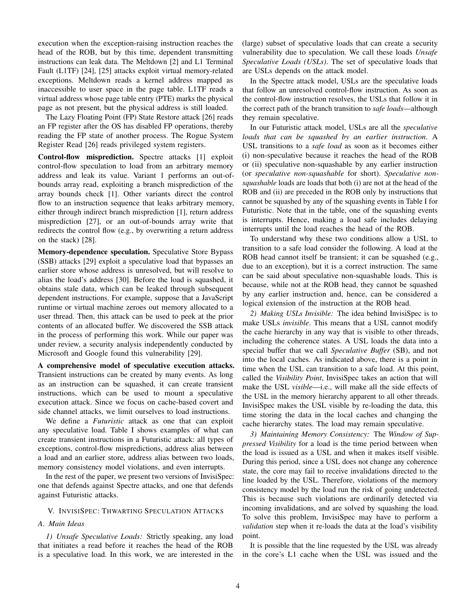execution when the exception-raising instruction reaches the head of the ROB, but by this time, dependent transmitting instructions can leak data. The Meltdown [2] and L1 Terminal Fault (L1TF) [24], [25] attacks exploit virtual memory-related exceptions. Meltdown reads a kernel address mapped as inaccessible to user space in the page table. L1TF reads a virtual address whose page table entry (PTE) marks the physical page as not present, but the physical address is still loaded.

The Lazy Floating Point (FP) State Restore attack [26] reads an FP register after the OS has disabled FP operations, thereby reading the FP state of another process. The Rogue System Register Read [26] reads privileged system registers.

Control-flow misprediction. Spectre attacks [1] exploit control-flow speculation to load from an arbitrary memory address and leak its value. Variant 1 performs an out-ofbounds array read, exploiting a branch misprediction of the array bounds check [1]. Other variants direct the control flow to an instruction sequence that leaks arbitrary memory, either through indirect branch misprediction [1], return address misprediction [27], or an out-of-bounds array write that redirects the control flow (e.g., by overwriting a return address on the stack) [28].

Memory-dependence speculation. Speculative Store Bypass (SSB) attacks [29] exploit a speculative load that bypasses an earlier store whose address is unresolved, but will resolve to alias the load's address [30]. Before the load is squashed, it obtains stale data, which can be leaked through subsequent dependent instructions. For example, suppose that a JavaScript runtime or virtual machine zeroes out memory allocated to a user thread. Then, this attack can be used to peek at the prior contents of an allocated buffer. We discovered the SSB attack in the process of performing this work. While our paper was under review, a security analysis independently conducted by Microsoft and Google found this vulnerability [29].

A comprehensive model of speculative execution attacks. Transient instructions can be created by many events. As long as an instruction can be squashed, it can create transient instructions, which can be used to mount a speculative execution attack. Since we focus on cache-based covert and side channel attacks, we limit ourselves to load instructions.

We define a *Futuristic* attack as one that can exploit any speculative load. Table I shows examples of what can create transient instructions in a Futuristic attack: all types of exceptions, control-flow mispredictions, address alias between a load and an earlier store, address alias between two loads, memory consistency model violations, and even interrupts.

In the rest of the paper, we present two versions of InvisiSpec: one that defends against Spectre attacks, and one that defends against Futuristic attacks.

## V. INVISISPEC: THWARTING SPECULATION ATTACKS

## *A. Main Ideas*

*1) Unsafe Speculative Loads:* Strictly speaking, any load that initiates a read before it reaches the head of the ROB is a speculative load. In this work, we are interested in the (large) subset of speculative loads that can create a security vulnerability due to speculation. We call these loads *Unsafe Speculative Loads (USLs)*. The set of speculative loads that are USLs depends on the attack model.

In the Spectre attack model, USLs are the speculative loads that follow an unresolved control-flow instruction. As soon as the control-flow instruction resolves, the USLs that follow it in the correct path of the branch transition to *safe loads*—although they remain speculative.

In our Futuristic attack model, USLs are all the *speculative loads that can be squashed by an earlier instruction*. A USL transitions to a *safe load* as soon as it becomes either (i) non-speculative because it reaches the head of the ROB or (ii) speculative non-squashable by any earlier instruction (or *speculative non-squashable* for short). *Speculative nonsquashable* loads are loads that both (i) are not at the head of the ROB and (ii) are preceded in the ROB only by instructions that cannot be squashed by any of the squashing events in Table I for Futuristic. Note that in the table, one of the squashing events is interrupts. Hence, making a load safe includes delaying interrupts until the load reaches the head of the ROB.

To understand why these two conditions allow a USL to transition to a safe load consider the following. A load at the ROB head cannot itself be transient; it can be squashed (e.g., due to an exception), but it is a correct instruction. The same can be said about speculative non-squashable loads. This is because, while not at the ROB head, they cannot be squashed by any earlier instruction and, hence, can be considered a logical extension of the instruction at the ROB head.

*2) Making USLs Invisible:* The idea behind InvisiSpec is to make USLs *invisible*. This means that a USL cannot modify the cache hierarchy in any way that is visible to other threads, including the coherence states. A USL loads the data into a special buffer that we call *Speculative Buffer* (SB), and not into the local caches. As indicated above, there is a point in time when the USL can transition to a safe load. At this point, called the *Visibility Point*, InvisiSpec takes an action that will make the USL *visible*—i.e., will make all the side effects of the USL in the memory hierarchy apparent to all other threads. InvisiSpec makes the USL visible by re-loading the data, this time storing the data in the local caches and changing the cache hierarchy states. The load may remain speculative.

*3) Maintaining Memory Consistency:* The *Window of Suppressed Visibility* for a load is the time period between when the load is issued as a USL and when it makes itself visible. During this period, since a USL does not change any coherence state, the core may fail to receive invalidations directed to the line loaded by the USL. Therefore, violations of the memory consistency model by the load run the risk of going undetected. This is because such violations are ordinarily detected via incoming invalidations, and are solved by squashing the load. To solve this problem, InvisiSpec may have to perform a *validation* step when it re-loads the data at the load's visibility point.

It is possible that the line requested by the USL was already in the core's L1 cache when the USL was issued and the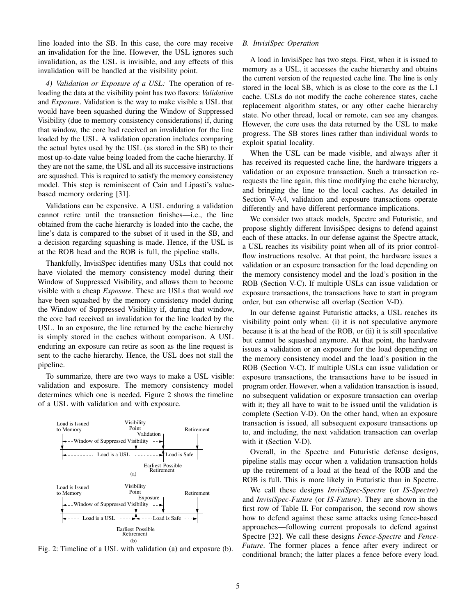line loaded into the SB. In this case, the core may receive an invalidation for the line. However, the USL ignores such invalidation, as the USL is invisible, and any effects of this invalidation will be handled at the visibility point.

*4) Validation or Exposure of a USL:* The operation of reloading the data at the visibility point has two flavors: *Validation* and *Exposure*. Validation is the way to make visible a USL that would have been squashed during the Window of Suppressed Visibility (due to memory consistency considerations) if, during that window, the core had received an invalidation for the line loaded by the USL. A validation operation includes comparing the actual bytes used by the USL (as stored in the SB) to their most up-to-date value being loaded from the cache hierarchy. If they are not the same, the USL and all its successive instructions are squashed. This is required to satisfy the memory consistency model. This step is reminiscent of Cain and Lipasti's valuebased memory ordering [31].

Validations can be expensive. A USL enduring a validation cannot retire until the transaction finishes—i.e., the line obtained from the cache hierarchy is loaded into the cache, the line's data is compared to the subset of it used in the SB, and a decision regarding squashing is made. Hence, if the USL is at the ROB head and the ROB is full, the pipeline stalls.

Thankfully, InvisiSpec identifies many USLs that could not have violated the memory consistency model during their Window of Suppressed Visibility, and allows them to become visible with a cheap *Exposure*. These are USLs that would *not* have been squashed by the memory consistency model during the Window of Suppressed Visibility if, during that window, the core had received an invalidation for the line loaded by the USL. In an exposure, the line returned by the cache hierarchy is simply stored in the caches without comparison. A USL enduring an exposure can retire as soon as the line request is sent to the cache hierarchy. Hence, the USL does not stall the pipeline.

To summarize, there are two ways to make a USL visible: validation and exposure. The memory consistency model determines which one is needed. Figure 2 shows the timeline of a USL with validation and with exposure.



Fig. 2: Timeline of a USL with validation (a) and exposure (b).

#### *B. InvisiSpec Operation*

A load in InvisiSpec has two steps. First, when it is issued to memory as a USL, it accesses the cache hierarchy and obtains the current version of the requested cache line. The line is only stored in the local SB, which is as close to the core as the L1 cache. USLs do not modify the cache coherence states, cache replacement algorithm states, or any other cache hierarchy state. No other thread, local or remote, can see any changes. However, the core uses the data returned by the USL to make progress. The SB stores lines rather than individual words to exploit spatial locality.

When the USL can be made visible, and always after it has received its requested cache line, the hardware triggers a validation or an exposure transaction. Such a transaction rerequests the line again, this time modifying the cache hierarchy, and bringing the line to the local caches. As detailed in Section V-A4, validation and exposure transactions operate differently and have different performance implications.

We consider two attack models, Spectre and Futuristic, and propose slightly different InvisiSpec designs to defend against each of these attacks. In our defense against the Spectre attack, a USL reaches its visibility point when all of its prior controlflow instructions resolve. At that point, the hardware issues a validation or an exposure transaction for the load depending on the memory consistency model and the load's position in the ROB (Section V-C). If multiple USLs can issue validation or exposure transactions, the transactions have to start in program order, but can otherwise all overlap (Section V-D).

In our defense against Futuristic attacks, a USL reaches its visibility point only when: (i) it is not speculative anymore because it is at the head of the ROB, or (ii) it is still speculative but cannot be squashed anymore. At that point, the hardware issues a validation or an exposure for the load depending on the memory consistency model and the load's position in the ROB (Section V-C). If multiple USLs can issue validation or exposure transactions, the transactions have to be issued in program order. However, when a validation transaction is issued, no subsequent validation or exposure transaction can overlap with it; they all have to wait to be issued until the validation is complete (Section V-D). On the other hand, when an exposure transaction is issued, all subsequent exposure transactions up to, and including, the next validation transaction can overlap with it (Section V-D).

Overall, in the Spectre and Futuristic defense designs, pipeline stalls may occur when a validation transaction holds up the retirement of a load at the head of the ROB and the ROB is full. This is more likely in Futuristic than in Spectre.

We call these designs *InvisiSpec-Spectre* (or *IS-Spectre*) and *InvisiSpec-Future* (or *IS-Future*). They are shown in the first row of Table II. For comparison, the second row shows how to defend against these same attacks using fence-based approaches—following current proposals to defend against Spectre [32]. We call these designs *Fence-Spectre* and *Fence-Future*. The former places a fence after every indirect or conditional branch; the latter places a fence before every load.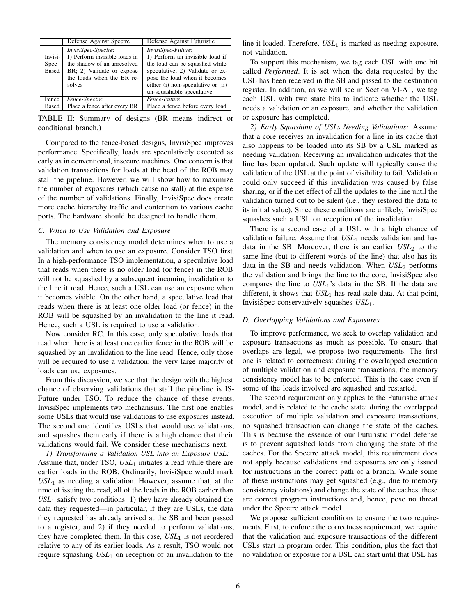|                                 | Defense Against Spectre                                                                                                                                 | Defense Against Futuristic                                                                                                                                                                                                     |
|---------------------------------|---------------------------------------------------------------------------------------------------------------------------------------------------------|--------------------------------------------------------------------------------------------------------------------------------------------------------------------------------------------------------------------------------|
| Invisi-<br>Spec<br><b>Based</b> | InvisiSpec-Spectre:<br>1) Perform invisible loads in<br>the shadow of an unresolved<br>BR; 2) Validate or expose<br>the loads when the BR re-<br>solves | InvisiSpec-Future:<br>1) Perform an invisible load if<br>the load can be squashed while<br>speculative; 2) Validate or ex-<br>pose the load when it becomes<br>either (i) non-speculative or (ii)<br>un-squashable speculative |
| Fence<br>Based                  | Fence-Spectre:<br>Place a fence after every BR                                                                                                          | Fence-Future:<br>Place a fence before every load                                                                                                                                                                               |

TABLE II: Summary of designs (BR means indirect or conditional branch.)

Compared to the fence-based designs, InvisiSpec improves performance. Specifically, loads are speculatively executed as early as in conventional, insecure machines. One concern is that validation transactions for loads at the head of the ROB may stall the pipeline. However, we will show how to maximize the number of exposures (which cause no stall) at the expense of the number of validations. Finally, InvisiSpec does create more cache hierarchy traffic and contention to various cache ports. The hardware should be designed to handle them.

## *C. When to Use Validation and Exposure*

The memory consistency model determines when to use a validation and when to use an exposure. Consider TSO first. In a high-performance TSO implementation, a speculative load that reads when there is no older load (or fence) in the ROB will not be squashed by a subsequent incoming invalidation to the line it read. Hence, such a USL can use an exposure when it becomes visible. On the other hand, a speculative load that reads when there is at least one older load (or fence) in the ROB will be squashed by an invalidation to the line it read. Hence, such a USL is required to use a validation.

Now consider RC. In this case, only speculative loads that read when there is at least one earlier fence in the ROB will be squashed by an invalidation to the line read. Hence, only those will be required to use a validation; the very large majority of loads can use exposures.

From this discussion, we see that the design with the highest chance of observing validations that stall the pipeline is IS-Future under TSO. To reduce the chance of these events, InvisiSpec implements two mechanisms. The first one enables some USLs that would use validations to use exposures instead. The second one identifies USLs that would use validations, and squashes them early if there is a high chance that their validations would fail. We consider these mechanisms next.

*1) Transforming a Validation USL into an Exposure USL:* Assume that, under TSO,  $USL<sub>1</sub>$  initiates a read while there are earlier loads in the ROB. Ordinarily, InvisiSpec would mark *USL*<sup>1</sup> as needing a validation. However, assume that, at the time of issuing the read, all of the loads in the ROB earlier than *USL*<sup>1</sup> satisfy two conditions: 1) they have already obtained the data they requested—in particular, if they are USLs, the data they requested has already arrived at the SB and been passed to a register, and 2) if they needed to perform validations, they have completed them. In this case,  $USL<sub>1</sub>$  is not reordered relative to any of its earlier loads. As a result, TSO would not require squashing  $USL<sub>1</sub>$  on reception of an invalidation to the

line it loaded. Therefore,  $USL<sub>1</sub>$  is marked as needing exposure, not validation.

To support this mechanism, we tag each USL with one bit called *Performed*. It is set when the data requested by the USL has been received in the SB and passed to the destination register. In addition, as we will see in Section VI-A1, we tag each USL with two state bits to indicate whether the USL needs a validation or an exposure, and whether the validation or exposure has completed.

*2) Early Squashing of USLs Needing Validations:* Assume that a core receives an invalidation for a line in its cache that also happens to be loaded into its SB by a USL marked as needing validation. Receiving an invalidation indicates that the line has been updated. Such update will typically cause the validation of the USL at the point of visibility to fail. Validation could only succeed if this invalidation was caused by false sharing, or if the net effect of all the updates to the line until the validation turned out to be silent (i.e., they restored the data to its initial value). Since these conditions are unlikely, InvisiSpec squashes such a USL on reception of the invalidation.

There is a second case of a USL with a high chance of validation failure. Assume that  $USL_1$  needs validation and has data in the SB. Moreover, there is an earlier  $USL<sub>2</sub>$  to the same line (but to different words of the line) that also has its data in the SB and needs validation. When  $USL<sub>2</sub>$  performs the validation and brings the line to the core, InvisiSpec also compares the line to *USL*1's data in the SB. If the data are different, it shows that  $USL<sub>1</sub>$  has read stale data. At that point, InvisiSpec conservatively squashes *USL*1.

## *D. Overlapping Validations and Exposures*

To improve performance, we seek to overlap validation and exposure transactions as much as possible. To ensure that overlaps are legal, we propose two requirements. The first one is related to correctness: during the overlapped execution of multiple validation and exposure transactions, the memory consistency model has to be enforced. This is the case even if some of the loads involved are squashed and restarted.

The second requirement only applies to the Futuristic attack model, and is related to the cache state: during the overlapped execution of multiple validation and exposure transactions, no squashed transaction can change the state of the caches. This is because the essence of our Futuristic model defense is to prevent squashed loads from changing the state of the caches. For the Spectre attack model, this requirement does not apply because validations and exposures are only issued for instructions in the correct path of a branch. While some of these instructions may get squashed (e.g., due to memory consistency violations) and change the state of the caches, these are correct program instructions and, hence, pose no threat under the Spectre attack model

We propose sufficient conditions to ensure the two requirements. First, to enforce the correctness requirement, we require that the validation and exposure transactions of the different USLs start in program order. This condition, plus the fact that no validation or exposure for a USL can start until that USL has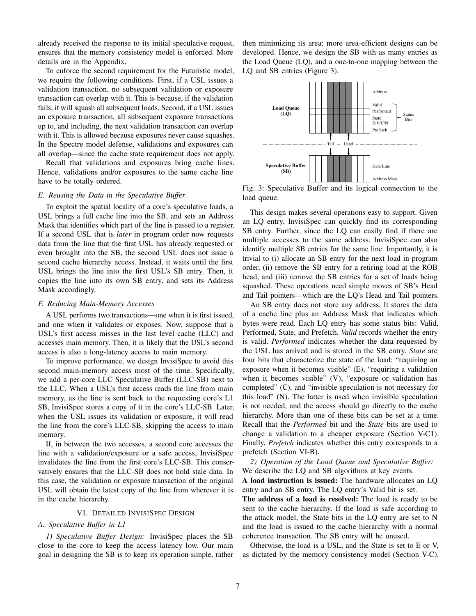already received the response to its initial speculative request, ensures that the memory consistency model is enforced. More details are in the Appendix.

To enforce the second requirement for the Futuristic model, we require the following conditions. First, if a USL issues a validation transaction, no subsequent validation or exposure transaction can overlap with it. This is because, if the validation fails, it will squash all subsequent loads. Second, if a USL issues an exposure transaction, all subsequent exposure transactions up to, and including, the next validation transaction can overlap with it. This is allowed because exposures never cause squashes. In the Spectre model defense, validations and exposures can all overlap—since the cache state requirement does not apply.

Recall that validations and exposures bring cache lines. Hence, validations and/or exposures to the same cache line have to be totally ordered.

## *E. Reusing the Data in the Speculative Buffer*

To exploit the spatial locality of a core's speculative loads, a USL brings a full cache line into the SB, and sets an Address Mask that identifies which part of the line is passed to a register. If a second USL that is *later* in program order now requests data from the line that the first USL has already requested or even brought into the SB, the second USL does not issue a second cache hierarchy access. Instead, it waits until the first USL brings the line into the first USL's SB entry. Then, it copies the line into its own SB entry, and sets its Address Mask accordingly.

### *F. Reducing Main-Memory Accesses*

A USL performs two transactions—one when it is first issued, and one when it validates or exposes. Now, suppose that a USL's first access misses in the last level cache (LLC) and accesses main memory. Then, it is likely that the USL's second access is also a long-latency access to main memory.

To improve performance, we design InvisiSpec to avoid this second main-memory access most of the time. Specifically, we add a per-core LLC Speculative Buffer (LLC-SB) next to the LLC. When a USL's first access reads the line from main memory, as the line is sent back to the requesting core's L1 SB, InvisiSpec stores a copy of it in the core's LLC-SB. Later, when the USL issues its validation or exposure, it will read the line from the core's LLC-SB, skipping the access to main memory.

If, in between the two accesses, a second core accesses the line with a validation/exposure or a safe access, InvisiSpec invalidates the line from the first core's LLC-SB. This conservatively ensures that the LLC-SB does not hold stale data. In this case, the validation or exposure transaction of the original USL will obtain the latest copy of the line from wherever it is in the cache hierarchy.

## VI. DETAILED INVISISPEC DESIGN

## *A. Speculative Buffer in L1*

*1) Speculative Buffer Design:* InvisiSpec places the SB close to the core to keep the access latency low. Our main goal in designing the SB is to keep its operation simple, rather

then minimizing its area; more area-efficient designs can be developed. Hence, we design the SB with as many entries as the Load Queue (LQ), and a one-to-one mapping between the LQ and SB entries (Figure 3).



Fig. 3: Speculative Buffer and its logical connection to the load queue.

This design makes several operations easy to support. Given an LQ entry, InvisiSpec can quickly find its corresponding SB entry. Further, since the LQ can easily find if there are multiple accesses to the same address, InvisiSpec can also identify multiple SB entries for the same line. Importantly, it is trivial to (i) allocate an SB entry for the next load in program order, (ii) remove the SB entry for a retiring load at the ROB head, and (iii) remove the SB entries for a set of loads being squashed. These operations need simple moves of SB's Head and Tail pointers—which are the LQ's Head and Tail pointers.

An SB entry does not store any address. It stores the data of a cache line plus an Address Mask that indicates which bytes were read. Each LQ entry has some status bits: Valid, Performed, State, and Prefetch. *Valid* records whether the entry is valid. *Performed* indicates whether the data requested by the USL has arrived and is stored in the SB entry. *State* are four bits that characterize the state of the load: "requiring an exposure when it becomes visible" (E), "requiring a validation when it becomes visible" (V), "exposure or validation has completed" (C), and "invisible speculation is not necessary for this load" (N). The latter is used when invisible speculation is not needed, and the access should go directly to the cache hierarchy. More than one of these bits can be set at a time. Recall that the *Performed* bit and the *State* bits are used to change a validation to a cheaper exposure (Section V-C1). Finally, *Prefetch* indicates whether this entry corresponds to a prefetch (Section VI-B).

*2) Operation of the Load Queue and Speculative Buffer:* We describe the LQ and SB algorithms at key events.

A load instruction is issued: The hardware allocates an LQ entry and an SB entry. The LQ entry's Valid bit is set.

The address of a load is resolved: The load is ready to be sent to the cache hierarchy. If the load is safe according to the attack model, the State bits in the LQ entry are set to N and the load is issued to the cache hierarchy with a normal coherence transaction. The SB entry will be unused.

Otherwise, the load is a USL, and the State is set to E or V, as dictated by the memory consistency model (Section V-C).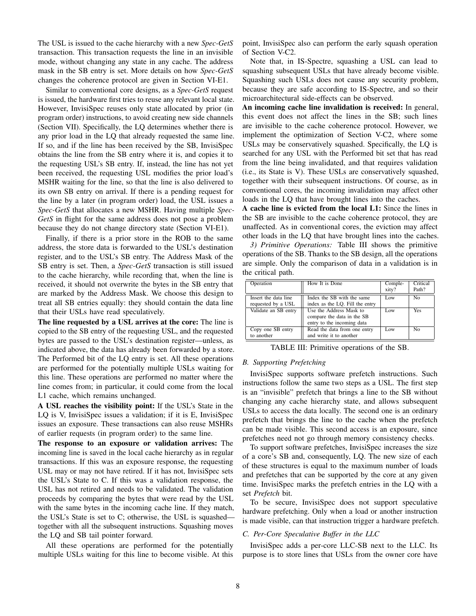The USL is issued to the cache hierarchy with a new *Spec-GetS* transaction. This transaction requests the line in an invisible mode, without changing any state in any cache. The address mask in the SB entry is set. More details on how *Spec-GetS* changes the coherence protocol are given in Section VI-E1.

Similar to conventional core designs, as a *Spec-GetS* request is issued, the hardware first tries to reuse any relevant local state. However, InvisiSpec reuses only state allocated by prior (in program order) instructions, to avoid creating new side channels (Section VII). Specifically, the LQ determines whether there is any prior load in the LQ that already requested the same line. If so, and if the line has been received by the SB, InvisiSpec obtains the line from the SB entry where it is, and copies it to the requesting USL's SB entry. If, instead, the line has not yet been received, the requesting USL modifies the prior load's MSHR waiting for the line, so that the line is also delivered to its own SB entry on arrival. If there is a pending request for the line by a later (in program order) load, the USL issues a *Spec-GetS* that allocates a new MSHR. Having multiple *Spec-GetS* in flight for the same address does not pose a problem because they do not change directory state (Section VI-E1).

Finally, if there is a prior store in the ROB to the same address, the store data is forwarded to the USL's destination register, and to the USL's SB entry. The Address Mask of the SB entry is set. Then, a *Spec-GetS* transaction is still issued to the cache hierarchy, while recording that, when the line is received, it should not overwrite the bytes in the SB entry that are marked by the Address Mask. We choose this design to treat all SB entries equally: they should contain the data line that their USLs have read speculatively.

The line requested by a USL arrives at the core: The line is copied to the SB entry of the requesting USL, and the requested bytes are passed to the USL's destination register—unless, as indicated above, the data has already been forwarded by a store. The Performed bit of the LQ entry is set. All these operations are performed for the potentially multiple USLs waiting for this line. These operations are performed no matter where the line comes from; in particular, it could come from the local L1 cache, which remains unchanged.

A USL reaches the visibility point: If the USL's State in the LQ is V, InvisiSpec issues a validation; if it is E, InvisiSpec issues an exposure. These transactions can also reuse MSHRs of earlier requests (in program order) to the same line.

The response to an exposure or validation arrives: The incoming line is saved in the local cache hierarchy as in regular transactions. If this was an exposure response, the requesting USL may or may not have retired. If it has not, InvisiSpec sets the USL's State to C. If this was a validation response, the USL has not retired and needs to be validated. The validation proceeds by comparing the bytes that were read by the USL with the same bytes in the incoming cache line. If they match, the USL's State is set to C; otherwise, the USL is squashed together with all the subsequent instructions. Squashing moves the LQ and SB tail pointer forward.

All these operations are performed for the potentially multiple USLs waiting for this line to become visible. At this

point, InvisiSpec also can perform the early squash operation of Section V-C2.

Note that, in IS-Spectre, squashing a USL can lead to squashing subsequent USLs that have already become visible. Squashing such USLs does not cause any security problem, because they are safe according to IS-Spectre, and so their microarchitectural side-effects can be observed.

An incoming cache line invalidation is received: In general, this event does not affect the lines in the SB; such lines are invisible to the cache coherence protocol. However, we implement the optimization of Section V-C2, where some USLs may be conservatively squashed. Specifically, the LQ is searched for any USL with the Performed bit set that has read from the line being invalidated, and that requires validation (i.e., its State is V). These USLs are conservatively squashed, together with their subsequent instructions. Of course, as in conventional cores, the incoming invalidation may affect other loads in the LQ that have brought lines into the caches.

A cache line is evicted from the local L1: Since the lines in the SB are invisible to the cache coherence protocol, they are unaffected. As in conventional cores, the eviction may affect other loads in the LQ that have brought lines into the caches.

*3) Primitive Operations:* Table III shows the primitive operations of the SB. Thanks to the SB design, all the operations are simple. Only the comparison of data in a validation is in the critical path.

| Operation                                  | How It is Done                                                                      | Comple-<br>xity? | Critical<br>Path? |
|--------------------------------------------|-------------------------------------------------------------------------------------|------------------|-------------------|
| Insert the data line<br>requested by a USL | Index the SB with the same<br>index as the LQ. Fill the entry                       | Low              | N <sub>0</sub>    |
| Validate an SB entry                       | Use the Address Mask to<br>compare the data in the SB<br>entry to the incoming data | Low              | Yes               |
| Copy one SB entry<br>to another            | Read the data from one entry<br>and write it to another                             | Low              | N <sub>0</sub>    |

TABLE III: Primitive operations of the SB.

## *B. Supporting Prefetching*

InvisiSpec supports software prefetch instructions. Such instructions follow the same two steps as a USL. The first step is an "invisible" prefetch that brings a line to the SB without changing any cache hierarchy state, and allows subsequent USLs to access the data locally. The second one is an ordinary prefetch that brings the line to the cache when the prefetch can be made visible. This second access is an exposure, since prefetches need not go through memory consistency checks.

To support software prefetches, InvisiSpec increases the size of a core's SB and, consequently, LQ. The new size of each of these structures is equal to the maximum number of loads and prefetches that can be supported by the core at any given time. InvisiSpec marks the prefetch entries in the LQ with a set *Prefetch* bit.

To be secure, InvisiSpec does not support speculative hardware prefetching. Only when a load or another instruction is made visible, can that instruction trigger a hardware prefetch.

## *C. Per-Core Speculative Buffer in the LLC*

InvisiSpec adds a per-core LLC-SB next to the LLC. Its purpose is to store lines that USLs from the owner core have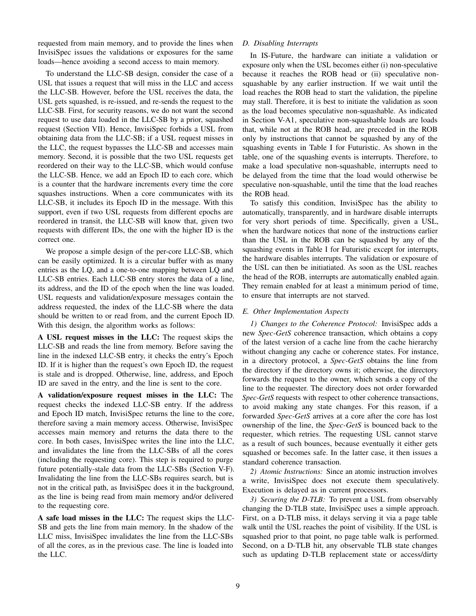requested from main memory, and to provide the lines when InvisiSpec issues the validations or exposures for the same loads—hence avoiding a second access to main memory.

To understand the LLC-SB design, consider the case of a USL that issues a request that will miss in the LLC and access the LLC-SB. However, before the USL receives the data, the USL gets squashed, is re-issued, and re-sends the request to the LLC-SB. First, for security reasons, we do not want the second request to use data loaded in the LLC-SB by a prior, squashed request (Section VII). Hence, InvisiSpec forbids a USL from obtaining data from the LLC-SB; if a USL request misses in the LLC, the request bypasses the LLC-SB and accesses main memory. Second, it is possible that the two USL requests get reordered on their way to the LLC-SB, which would confuse the LLC-SB. Hence, we add an Epoch ID to each core, which is a counter that the hardware increments every time the core squashes instructions. When a core communicates with its LLC-SB, it includes its Epoch ID in the message. With this support, even if two USL requests from different epochs are reordered in transit, the LLC-SB will know that, given two requests with different IDs, the one with the higher ID is the correct one.

We propose a simple design of the per-core LLC-SB, which can be easily optimized. It is a circular buffer with as many entries as the LQ, and a one-to-one mapping between LQ and LLC-SB entries. Each LLC-SB entry stores the data of a line, its address, and the ID of the epoch when the line was loaded. USL requests and validation/exposure messages contain the address requested, the index of the LLC-SB where the data should be written to or read from, and the current Epoch ID. With this design, the algorithm works as follows:

A USL request misses in the LLC: The request skips the LLC-SB and reads the line from memory. Before saving the line in the indexed LLC-SB entry, it checks the entry's Epoch ID. If it is higher than the request's own Epoch ID, the request is stale and is dropped. Otherwise, line, address, and Epoch ID are saved in the entry, and the line is sent to the core.

A validation/exposure request misses in the LLC: The request checks the indexed LLC-SB entry. If the address and Epoch ID match, InvisiSpec returns the line to the core, therefore saving a main memory access. Otherwise, InvisiSpec accesses main memory and returns the data there to the core. In both cases, InvisiSpec writes the line into the LLC, and invalidates the line from the LLC-SBs of all the cores (including the requesting core). This step is required to purge future potentially-stale data from the LLC-SBs (Section V-F). Invalidating the line from the LLC-SBs requires search, but is not in the critical path, as InvisiSpec does it in the background, as the line is being read from main memory and/or delivered to the requesting core.

A safe load misses in the LLC: The request skips the LLC-SB and gets the line from main memory. In the shadow of the LLC miss, InvisiSpec invalidates the line from the LLC-SBs of all the cores, as in the previous case. The line is loaded into the LLC.

# *D. Disabling Interrupts*

In IS-Future, the hardware can initiate a validation or exposure only when the USL becomes either (i) non-speculative because it reaches the ROB head or (ii) speculative nonsquashable by any earlier instruction. If we wait until the load reaches the ROB head to start the validation, the pipeline may stall. Therefore, it is best to initiate the validation as soon as the load becomes speculative non-squashable. As indicated in Section V-A1, speculative non-squashable loads are loads that, while not at the ROB head, are preceded in the ROB only by instructions that cannot be squashed by any of the squashing events in Table I for Futuristic. As shown in the table, one of the squashing events is interrupts. Therefore, to make a load speculative non-squashable, interrupts need to be delayed from the time that the load would otherwise be speculative non-squashable, until the time that the load reaches the ROB head.

To satisfy this condition, InvisiSpec has the ability to automatically, transparently, and in hardware disable interrupts for very short periods of time. Specifically, given a USL, when the hardware notices that none of the instructions earlier than the USL in the ROB can be squashed by any of the squashing events in Table I for Futuristic except for interrupts, the hardware disables interrupts. The validation or exposure of the USL can then be initiatiated. As soon as the USL reaches the head of the ROB, interrupts are automatically enabled again. They remain enabled for at least a minimum period of time, to ensure that interrupts are not starved.

# *E. Other Implementation Aspects*

*1) Changes to the Coherence Protocol:* InvisiSpec adds a new *Spec-GetS* coherence transaction, which obtains a copy of the latest version of a cache line from the cache hierarchy without changing any cache or coherence states. For instance, in a directory protocol, a *Spec-GetS* obtains the line from the directory if the directory owns it; otherwise, the directory forwards the request to the owner, which sends a copy of the line to the requester. The directory does not order forwarded *Spec-GetS* requests with respect to other coherence transactions, to avoid making any state changes. For this reason, if a forwarded *Spec-GetS* arrives at a core after the core has lost ownership of the line, the *Spec-GetS* is bounced back to the requester, which retries. The requesting USL cannot starve as a result of such bounces, because eventually it either gets squashed or becomes safe. In the latter case, it then issues a standard coherence transaction.

*2) Atomic Instructions:* Since an atomic instruction involves a write, InvisiSpec does not execute them speculatively. Execution is delayed as in current processors.

*3) Securing the D-TLB:* To prevent a USL from observably changing the D-TLB state, InvisiSpec uses a simple approach. First, on a D-TLB miss, it delays serving it via a page table walk until the USL reaches the point of visibility. If the USL is squashed prior to that point, no page table walk is performed. Second, on a D-TLB hit, any observable TLB state changes such as updating D-TLB replacement state or access/dirty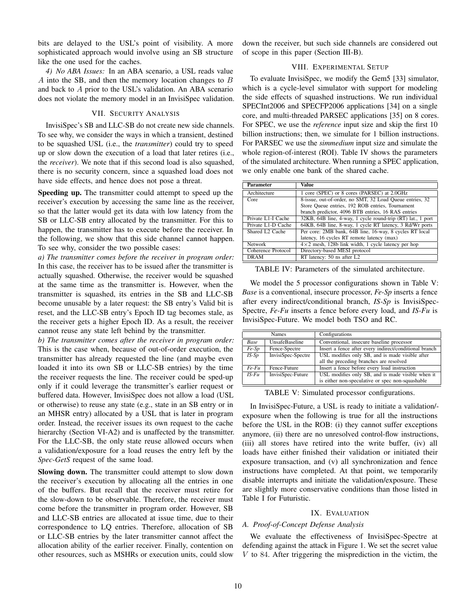bits are delayed to the USL's point of visibility. A more sophisticated approach would involve using an SB structure like the one used for the caches.

*4) No ABA Issues:* In an ABA scenario, a USL reads value A into the SB, and then the memory location changes to B and back to A prior to the USL's validation. An ABA scenario does not violate the memory model in an InvisiSpec validation.

#### VII. SECURITY ANALYSIS

InvisiSpec's SB and LLC-SB do not create new side channels. To see why, we consider the ways in which a transient, destined to be squashed USL (i.e., the *transmitter*) could try to speed up or slow down the execution of a load that later retires (i.e., the *receiver*). We note that if this second load is also squashed, there is no security concern, since a squashed load does not have side effects, and hence does not pose a threat.

Speeding up. The transmitter could attempt to speed up the receiver's execution by accessing the same line as the receiver, so that the latter would get its data with low latency from the SB or LLC-SB entry allocated by the transmitter. For this to happen, the transmitter has to execute before the receiver. In the following, we show that this side channel cannot happen. To see why, consider the two possible cases:

*a) The transmitter comes before the receiver in program order:* In this case, the receiver has to be issued after the transmitter is actually squashed. Otherwise, the receiver would be squashed at the same time as the transmitter is. However, when the transmitter is squashed, its entries in the SB and LLC-SB become unusable by a later request: the SB entry's Valid bit is reset, and the LLC-SB entry's Epoch ID tag becomes stale, as the receiver gets a higher Epoch ID. As a result, the receiver cannot reuse any state left behind by the transmitter.

*b) The transmitter comes after the receiver in program order:* This is the case when, because of out-of-order execution, the transmitter has already requested the line (and maybe even loaded it into its own SB or LLC-SB entries) by the time the receiver requests the line. The receiver could be sped-up only if it could leverage the transmitter's earlier request or buffered data. However, InvisiSpec does not allow a load (USL or otherwise) to reuse any state (e.g., state in an SB entry or in an MHSR entry) allocated by a USL that is later in program order. Instead, the receiver issues its own request to the cache hierarchy (Section VI-A2) and is unaffected by the transmitter. For the LLC-SB, the only state reuse allowed occurs when a validation/exposure for a load reuses the entry left by the *Spec-GetS* request of the same load.

Slowing down. The transmitter could attempt to slow down the receiver's execution by allocating all the entries in one of the buffers. But recall that the receiver must retire for the slow-down to be observable. Therefore, the receiver must come before the transmitter in program order. However, SB and LLC-SB entries are allocated at issue time, due to their correspondence to LQ entries. Therefore, allocation of SB or LLC-SB entries by the later transmitter cannot affect the allocation ability of the earlier receiver. Finally, contention on other resources, such as MSHRs or execution units, could slow

down the receiver, but such side channels are considered out of scope in this paper (Section III-B).

## VIII. EXPERIMENTAL SETUP

To evaluate InvisiSpec, we modify the Gem5 [33] simulator, which is a cycle-level simulator with support for modeling the side effects of squashed instructions. We run individual SPECInt2006 and SPECFP2006 applications [34] on a single core, and multi-threaded PARSEC applications [35] on 8 cores. For SPEC, we use the *reference* input size and skip the first 10 billion instructions; then, we simulate for 1 billion instructions. For PARSEC we use the *simmedium* input size and simulate the whole region-of-interest (ROI). Table IV shows the parameters of the simulated architecture. When running a SPEC application, we only enable one bank of the shared cache.

| Parameter                   | <b>Value</b>                                                |
|-----------------------------|-------------------------------------------------------------|
| Architecture                | 1 core (SPEC) or 8 cores (PARSEC) at 2.0GHz                 |
| Core                        | 8-issue, out-of-order, no SMT, 32 Load Queue entries, 32    |
|                             | Store Queue entries, 192 ROB entries, Tournament            |
|                             | branch predictor, 4096 BTB entries, 16 RAS entries          |
| Private L1-I Cache          | 32KB, 64B line, 4-way, 1 cycle round-trip (RT) lat., 1 port |
| Private L1-D Cache          | 64KB, 64B line, 8-way, 1 cycle RT latency, 3 Rd/Wr ports    |
| Shared L <sub>2</sub> Cache | Per core: 2MB bank, 64B line, 16-way, 8 cycles RT local     |
|                             | latency, 16 cycles RT remote latency (max)                  |
| <b>Network</b>              | $4 \times 2$ mesh, 128b link width, 1 cycle latency per hop |
| Coherence Protocol          | Directory-based MESI protocol                               |
| <b>DRAM</b>                 | RT latency: $50$ ns after L2                                |

TABLE IV: Parameters of the simulated architecture.

We model the 5 processor configurations shown in Table V: *Base* is a conventional, insecure processor, *Fe-Sp* inserts a fence after every indirect/conditional branch, *IS-Sp* is InvisiSpec-Spectre, *Fe-Fu* inserts a fence before every load, and *IS-Fu* is InvisiSpec-Future. We model both TSO and RC.

| <b>Names</b> |                    | Configurations                                         |  |  |  |  |  |
|--------------|--------------------|--------------------------------------------------------|--|--|--|--|--|
| Base         | UnsafeBaseline     | Conventional, insecure baseline processor              |  |  |  |  |  |
| Fe-Sp        | Fence-Spectre      | Insert a fence after every indirect/conditional branch |  |  |  |  |  |
| $IS-Sp$      | InvisiSpec-Spectre | USL modifies only SB, and is made visible after        |  |  |  |  |  |
|              |                    | all the preceding branches are resolved                |  |  |  |  |  |
| $Fe$ - $Fu$  | Fence-Future       | Insert a fence before every load instruction           |  |  |  |  |  |
| $IS-Fu$      | InvisiSpec-Future  | USL modifies only SB, and is made visible when it      |  |  |  |  |  |
|              |                    | is either non-speculative or spec non-squashable       |  |  |  |  |  |

TABLE V: Simulated processor configurations.

In InvisiSpec-Future, a USL is ready to initiate a validation/ exposure when the following is true for all the instructions before the USL in the ROB: (i) they cannot suffer exceptions anymore, (ii) there are no unresolved control-flow instructions, (iii) all stores have retired into the write buffer, (iv) all loads have either finished their validation or initiated their exposure transaction, and (v) all synchronization and fence instructions have completed. At that point, we temporarily disable interrupts and initiate the validation/exposure. These are slightly more conservative conditions than those listed in Table I for Futuristic.

## IX. EVALUATION

## *A. Proof-of-Concept Defense Analysis*

We evaluate the effectiveness of InvisiSpec-Spectre at defending against the attack in Figure 1. We set the secret value V to 84. After triggering the misprediction in the victim, the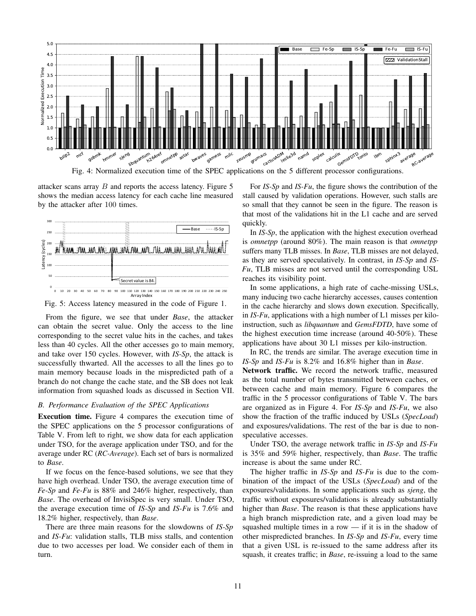

Fig. 4: Normalized execution time of the SPEC applications on the 5 different processor configurations.

attacker scans array B and reports the access latency. Figure 5 shows the median access latency for each cache line measured by the attacker after 100 times.



Fig. 5: Access latency measured in the code of Figure 1.

From the figure, we see that under *Base*, the attacker can obtain the secret value. Only the access to the line corresponding to the secret value hits in the caches, and takes less than 40 cycles. All the other accesses go to main memory, and take over 150 cycles. However, with *IS-Sp*, the attack is successfully thwarted. All the accesses to all the lines go to main memory because loads in the mispredicted path of a branch do not change the cache state, and the SB does not leak information from squashed loads as discussed in Section VII.

# *B. Performance Evaluation of the SPEC Applications*

Execution time. Figure 4 compares the execution time of the SPEC applications on the 5 processor configurations of Table V. From left to right, we show data for each application under TSO, for the average application under TSO, and for the average under RC (*RC-Average*). Each set of bars is normalized to *Base*.

If we focus on the fence-based solutions, we see that they have high overhead. Under TSO, the average execution time of *Fe-Sp* and *Fe-Fu* is 88% and 246% higher, respectively, than *Base*. The overhead of InvisiSpec is very small. Under TSO, the average execution time of *IS-Sp* and *IS-Fu* is 7.6% and 18.2% higher, respectively, than *Base*.

There are three main reasons for the slowdowns of *IS-Sp* and *IS-Fu*: validation stalls, TLB miss stalls, and contention due to two accesses per load. We consider each of them in turn.

For *IS-Sp* and *IS-Fu*, the figure shows the contribution of the stall caused by validation operations. However, such stalls are so small that they cannot be seen in the figure. The reason is that most of the validations hit in the L1 cache and are served quickly.

In *IS-Sp*, the application with the highest execution overhead is *omnetpp* (around 80%). The main reason is that *omnetpp* suffers many TLB misses. In *Base*, TLB misses are not delayed, as they are served speculatively. In contrast, in *IS-Sp* and *IS-Fu*, TLB misses are not served until the corresponding USL reaches its visibility point.

In some applications, a high rate of cache-missing USLs, many inducing two cache hierarchy accesses, causes contention in the cache hierarchy and slows down execution. Specifically, in *IS-Fu*, applications with a high number of L1 misses per kiloinstruction, such as *libquantum* and *GemsFDTD*, have some of the highest execution time increase (around 40-50%). These applications have about 30 L1 misses per kilo-instruction.

In RC, the trends are similar. The average execution time in *IS-Sp* and *IS-Fu* is 8.2% and 16.8% higher than in *Base*.

Network traffic. We record the network traffic, measured as the total number of bytes transmitted between caches, or between cache and main memory. Figure 6 compares the traffic in the 5 processor configurations of Table V. The bars are organized as in Figure 4. For *IS-Sp* and *IS-Fu*, we also show the fraction of the traffic induced by USLs (*SpecLoad*) and exposures/validations. The rest of the bar is due to nonspeculative accesses.

Under TSO, the average network traffic in *IS-Sp* and *IS-Fu* is 35% and 59% higher, respectively, than *Base*. The traffic increase is about the same under RC.

The higher traffic in *IS-Sp* and *IS-Fu* is due to the combination of the impact of the USLs (*SpecLoad*) and of the exposures/validations. In some applications such as *sjeng*, the traffic without exposures/validations is already substantially higher than *Base*. The reason is that these applications have a high branch misprediction rate, and a given load may be squashed multiple times in a row  $\frac{d}{dx}$  if it is in the shadow of other mispredicted branches. In *IS-Sp* and *IS-Fu*, every time that a given USL is re-issued to the same address after its squash, it creates traffic; in *Base*, re-issuing a load to the same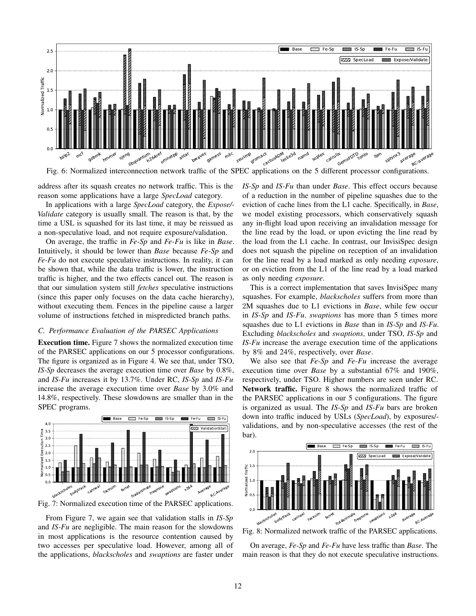

Fig. 6: Normalized interconnection network traffic of the SPEC applications on the 5 different processor configurations.

address after its squash creates no network traffic. This is the reason some applications have a large *SpecLoad* category.

In applications with a large *SpecLoad* category, the *Expose/- Validate* category is usually small. The reason is that, by the time a USL is squashed for its last time, it may be reissued as a non-speculative load, and not require exposure/validation.

On average, the traffic in *Fe-Sp* and *Fe-Fu* is like in *Base*. Intuitively, it should be lower than *Base* because *Fe-Sp* and *Fe-Fu* do not execute speculative instructions. In reality, it can be shown that, while the data traffic is lower, the instruction traffic is higher, and the two effects cancel out. The reason is that our simulation system still *fetches* speculative instructions (since this paper only focuses on the data cache hierarchy), without executing them. Fences in the pipeline cause a larger volume of instructions fetched in mispredicted branch paths.

## *C. Performance Evaluation of the PARSEC Applications*

Execution time. Figure 7 shows the normalized execution time of the PARSEC applications on our 5 processor configurations. The figure is organized as in Figure 4. We see that, under TSO, *IS-Sp* decreases the average execution time over *Base* by 0.8%, and *IS-Fu* increases it by 13.7%. Under RC, *IS-Sp* and *IS-Fu* increase the average execution time over *Base* by 3.0% and 14.8%, respectively. These slowdowns are smaller than in the SPEC programs.



Fig. 7: Normalized execution time of the PARSEC applications.

From Figure 7, we again see that validation stalls in *IS-Sp* and *IS-Fu* are negligible. The main reason for the slowdowns in most applications is the resource contention caused by two accesses per speculative load. However, among all of the applications, *blackscholes* and *swaptions* are faster under *IS-Sp* and *IS-Fu* than under *Base*. This effect occurs because of a reduction in the number of pipeline squashes due to the eviction of cache lines from the L1 cache. Specifically, in *Base*, we model existing processors, which conservatively squash any in-flight load upon receiving an invalidation message for the line read by the load, or upon evicting the line read by the load from the L1 cache. In contrast, our InvisiSpec design does not squash the pipeline on reception of an invalidation for the line read by a load marked as only needing *exposure*, or on eviction from the L1 of the line read by a load marked as only needing *exposure*.

This is a correct implementation that saves InvisiSpec many squashes. For example, *blackscholes* suffers from more than 2M squashes due to L1 evictions in *Base*, while few occur in *IS-Sp* and *IS-Fu*. *swaptions* has more than 5 times more squashes due to L1 evictions in *Base* than in *IS-Sp* and *IS-Fu*. Excluding *blackscholes* and *swaptions*, under TSO, *IS-Sp* and *IS-Fu* increase the average execution time of the applications by 8% and 24%, respectively, over *Base*.

We also see that *Fe-Sp* and *Fe-Fu* increase the average execution time over *Base* by a substantial 67% and 190%, respectively, under TSO. Higher numbers are seen under RC. Network traffic. Figure 8 shows the normalized traffic of the PARSEC applications in our 5 configurations. The figure is organized as usual. The *IS-Sp* and *IS-Fu* bars are broken down into traffic induced by USLs (*SpecLoad*), by exposures/ validations, and by non-speculative accesses (the rest of the bar).



Fig. 8: Normalized network traffic of the PARSEC applications.

On average, *Fe-Sp* and *Fe-Fu* have less traffic than *Base*. The main reason is that they do not execute speculative instructions.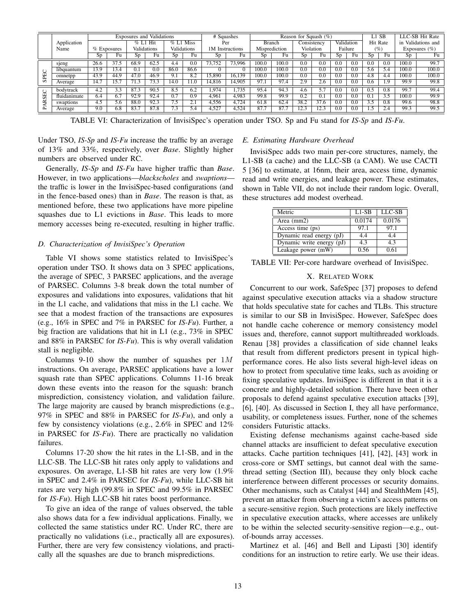|      | Exposures and Validations |      |                      |            |             | # Squashes  |                 | Reason for Squash $(\%)$ |               |               |           |             | -SB               |            | LLC-SB Hit Rate |          |                   |                    |       |
|------|---------------------------|------|----------------------|------------|-------------|-------------|-----------------|--------------------------|---------------|---------------|-----------|-------------|-------------------|------------|-----------------|----------|-------------------|--------------------|-------|
|      | Application               |      |                      | $% L1$ Hit |             | $% L1$ Miss |                 | Per                      |               | <b>Branch</b> |           | Consistency |                   | Validation |                 | Hit Rate |                   | in Validations and |       |
|      | $%$ Exposures<br>Name     |      | Validations          |            | Validations |             | 1M Instructions |                          | Misprediction |               | Violation |             | Failure           |            | (%              |          | Exposures $(\% )$ |                    |       |
|      |                           | Sp   | Fu                   | $S_{D}$    | Fu          | Sp.         | Fu              | Sp.                      | Fu            | Sp            | Fu        | Sn          | Fu                | Sn         | Fu              | $S_{D}$  | Fu                | $S_{D}$            | Fu    |
|      | sjeng                     | 26.6 | 37.5                 | 68.9       | 62.5        | 4.4         | 0.0             | 73.752                   | 73.996        | 100.0         | 100.0     | 0.0         | 0.0               | 0.0        | 0.0             | 0.0      | 0.0               | 100.0              | 99.7  |
|      | libquantum                | 13.9 | 13.4                 | 0.1        | 0.0         | 86.0        | 86.6            |                          |               | 100.0         | 100.0     | 0.0         | 0.0               | 0.0        | 0.0             | 5.6      | 5.4               | 100.0              | 100.0 |
| SPE) | omnetpp                   | 43.9 | 44.9                 | 47.0       | 46.9        | 9.1         | 8.2             | 15.890                   | 16.139        | 100.0         | 100.0     | 0.0         | 0.0               | 0.0        | 0.0             | 4.8      | 4.4               | 100.0              | 100.0 |
|      | Average                   | 14.7 | 15.7                 |            | 73.3        | (4.0)       | 11.0            | 14.816                   | 14.905        | 97.1          | 97.4      | 2.9         | 2.6               | 0.0        | 0.0             | 0.6      | .9                | 99.9               | 99.8  |
|      | bodytrack                 | 4.2  | $\sim$ $\sim$<br>3.3 | 87.3       | 90.5        | 8.5         | 6.2             | 1.974                    | .735          | 95.4          | 94.3      | 4.6         |                   | 0.0        | 0.0             | 0.5      | 0.8               | 99.7               | 99.4  |
| SE   | fluidanimate              | 6.4  | 6.7                  | 92.9       | 92.4        | 0.7         | 0.9             | 4.961                    | 4.983         | 99.8          | 99.9      | 0.2         | 0.1               | 0.0        | 0.0             | 0.1      | 3.5               | 100.0              | 99.9  |
|      | swaptions                 | 4.5  | 5.6                  | 88.0       | 92.3        | 7.5         | $\sim$<br>z.,   | 4.556                    | 4.724         | 61.8          | 62.4      | 38.2        | $\overline{37.6}$ | 0.0        | 0.0             | 3.5      | 0.8               | 99.6               | 98.8  |
|      | Average                   | 9.0  | 6.8                  | 83.7       | 87.8        | 7.3         | 5.4             | 4,527                    | 4.524         | 87.7          | 87.7      | 12.3        | 12.3              | 0.0        | 0.0             | L.C      | $\sim$<br>2.4     | 99.3               | 99.5  |

TABLE VI: Characterization of InvisiSpec's operation under TSO. Sp and Fu stand for *IS-Sp* and *IS-Fu*.

Under TSO, *IS-Sp* and *IS-Fu* increase the traffic by an average of 13% and 33%, respectively, over *Base*. Slightly higher numbers are observed under RC.

Generally, *IS-Sp* and *IS-Fu* have higher traffic than *Base*. However, in two applications—*blackscholes* and *swaptions* the traffic is lower in the InvisiSpec-based configurations (and in the fence-based ones) than in *Base*. The reason is that, as mentioned before, these two applications have more pipeline squashes due to L1 evictions in *Base*. This leads to more memory accesses being re-executed, resulting in higher traffic.

## *D. Characterization of InvisiSpec's Operation*

Table VI shows some statistics related to InvisiSpec's operation under TSO. It shows data on 3 SPEC applications, the average of SPEC, 3 PARSEC applications, and the average of PARSEC. Columns 3-8 break down the total number of exposures and validations into exposures, validations that hit in the L1 cache, and validations that miss in the L1 cache. We see that a modest fraction of the transactions are exposures (e.g., 16% in SPEC and 7% in PARSEC for *IS-Fu*). Further, a big fraction are validations that hit in L1 (e.g., 73% in SPEC and 88% in PARSEC for *IS-Fu*). This is why overall validation stall is negligible.

Columns 9-10 show the number of squashes per  $1M$ instructions. On average, PARSEC applications have a lower squash rate than SPEC applications. Columns 11-16 break down these events into the reason for the squash: branch misprediction, consistency violation, and validation failure. The large majority are caused by branch mispredictions (e.g., 97% in SPEC and 88% in PARSEC for *IS-Fu*), and only a few by consistency violations (e.g., 2.6% in SPEC and 12% in PARSEC for *IS-Fu*). There are practically no validation failures.

Columns 17-20 show the hit rates in the L1-SB, and in the LLC-SB. The LLC-SB hit rates only apply to validations and exposures. On average, L1-SB hit rates are very low (1.9% in SPEC and 2.4% in PARSEC for *IS-Fu*), while LLC-SB hit rates are very high (99.8% in SPEC and 99.5% in PARSEC for *IS-Fu*). High LLC-SB hit rates boost performance.

To give an idea of the range of values observed, the table also shows data for a few individual applications. Finally, we collected the same statistics under RC. Under RC, there are practically no validations (i.e., practically all are exposures). Further, there are very few consistency violations, and practically all the squashes are due to branch mispredictions.

## *E. Estimating Hardware Overhead*

InvisiSpec adds two main per-core structures, namely, the L1-SB (a cache) and the LLC-SB (a CAM). We use CACTI 5 [36] to estimate, at 16nm, their area, access time, dynamic read and write energies, and leakage power. These estimates, shown in Table VII, do not include their random logic. Overall, these structures add modest overhead.

| Metric                    | $L1-SB$ | LLC-SB |
|---------------------------|---------|--------|
| Area $(mm2)$              | 0.0174  | 0.0176 |
| Access time $(ps)$        | 97.1    | 97.1   |
| Dynamic read energy (pJ)  | 44      | 44     |
| Dynamic write energy (pJ) | 43      | 43     |
| Leakage power (mW)        | 0.56    | 0.61   |

TABLE VII: Per-core hardware overhead of InvisiSpec.

## X. RELATED WORK

Concurrent to our work, SafeSpec [37] proposes to defend against speculative execution attacks via a shadow structure that holds speculative state for caches and TLBs. This structure is similar to our SB in InvisiSpec. However, SafeSpec does not handle cache coherence or memory consistency model issues and, therefore, cannot support multithreaded workloads. Renau [38] provides a classification of side channel leaks that result from different predictors present in typical highperformance cores. He also lists several high-level ideas on how to protect from speculative time leaks, such as avoiding or fixing speculative updates. InvisiSpec is different in that it is a concrete and highly-detailed solution. There have been other proposals to defend against speculative execution attacks [39], [6], [40]. As discussed in Section I, they all have performance, usability, or completeness issues. Further, none of the schemes considers Futuristic attacks.

Existing defense mechanisms against cache-based side channel attacks are insufficient to defeat speculative execution attacks. Cache partition techniques [41], [42], [43] work in cross-core or SMT settings, but cannot deal with the samethread setting (Section III), because they only block cache interference between different processes or security domains. Other mechanisms, such as Catalyst [44] and StealthMem [45], prevent an attacker from observing a victim's access patterns on a secure-sensitive region. Such protections are likely ineffective in speculative execution attacks, where accesses are unlikely to be within the selected security-sensitive region—e.g., outof-bounds array accesses.

Martinez et al. [46] and Bell and Lipasti [30] identify conditions for an instruction to retire early. We use their ideas.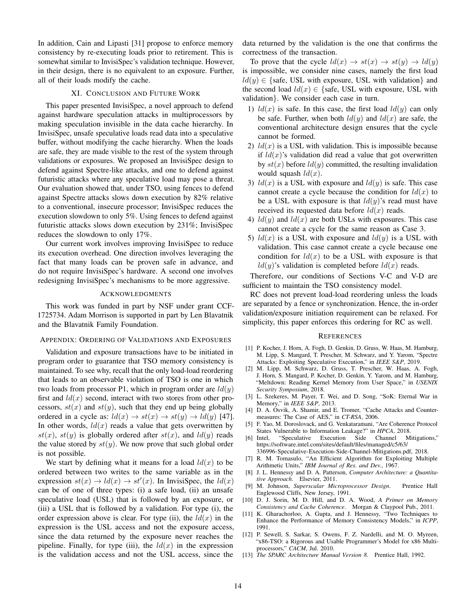In addition, Cain and Lipasti [31] propose to enforce memory consistency by re-executing loads prior to retirement. This is somewhat similar to InvisiSpec's validation technique. However, in their design, there is no equivalent to an exposure. Further, all of their loads modify the cache.

## XI. CONCLUSION AND FUTURE WORK

This paper presented InvisiSpec, a novel approach to defend against hardware speculation attacks in multiprocessors by making speculation invisible in the data cache hierarchy. In InvisiSpec, unsafe speculative loads read data into a speculative buffer, without modifying the cache hierarchy. When the loads are safe, they are made visible to the rest of the system through validations or exposures. We proposed an InvisiSpec design to defend against Spectre-like attacks, and one to defend against futuristic attacks where any speculative load may pose a threat. Our evaluation showed that, under TSO, using fences to defend against Spectre attacks slows down execution by 82% relative to a conventional, insecure processor; InvisiSpec reduces the execution slowdown to only 5%. Using fences to defend against futuristic attacks slows down execution by 231%; InvisiSpec reduces the slowdown to only 17%.

Our current work involves improving InvisiSpec to reduce its execution overhead. One direction involves leveraging the fact that many loads can be proven safe in advance, and do not require InvisiSpec's hardware. A second one involves redesigning InvisiSpec's mechanisms to be more aggressive.

## ACKNOWLEDGMENTS

This work was funded in part by NSF under grant CCF-1725734. Adam Morrison is supported in part by Len Blavatnik and the Blavatnik Family Foundation.

#### APPENDIX: ORDERING OF VALIDATIONS AND EXPOSURES

Validation and exposure transactions have to be initiated in program order to guarantee that TSO memory consistency is maintained. To see why, recall that the only load-load reordering that leads to an observable violation of TSO is one in which two loads from processor P1, which in program order are  $ld(y)$ first and  $ld(x)$  second, interact with two stores from other processors,  $st(x)$  and  $st(y)$ , such that they end up being globally ordered in a cycle as:  $ld(x) \rightarrow st(x) \rightarrow st(y) \rightarrow ld(y)$  [47]. In other words,  $ld(x)$  reads a value that gets overwritten by  $st(x)$ ,  $st(y)$  is globally ordered after  $st(x)$ , and  $ld(y)$  reads the value stored by  $st(y)$ . We now prove that such global order is not possible.

We start by defining what it means for a load  $ld(x)$  to be ordered between two writes to the same variable as in the expression  $st(x) \rightarrow ld(x) \rightarrow st'(x)$ . In InvisiSpec, the  $ld(x)$ can be of one of three types: (i) a safe load, (ii) an unsafe speculative load (USL) that is followed by an exposure, or (iii) a USL that is followed by a validation. For type (i), the order expression above is clear. For type (ii), the  $ld(x)$  in the expression is the USL access and not the exposure access, since the data returned by the exposure never reaches the pipeline. Finally, for type (iii), the  $ld(x)$  in the expression is the validation access and not the USL access, since the

data returned by the validation is the one that confirms the correctness of the transaction.

To prove that the cycle  $ld(x) \rightarrow st(x) \rightarrow st(y) \rightarrow ld(y)$ is impossible, we consider nine cases, namely the first load  $ld(y) \in \{ \text{safe}, \text{USL with exposure}, \text{USL with validation} \}$  and the second load  $ld(x) \in \{\text{safe}, \text{USL with exposure}, \text{USL with}\}$ validation}. We consider each case in turn.

- 1)  $ld(x)$  is safe. In this case, the first load  $ld(y)$  can only be safe. Further, when both  $ld(y)$  and  $ld(x)$  are safe, the conventional architecture design ensures that the cycle cannot be formed.
- 2)  $ld(x)$  is a USL with validation. This is impossible because if  $ld(x)$ 's validation did read a value that got overwritten by  $st(x)$  before  $ld(y)$  committed, the resulting invalidation would squash  $ld(x)$ .
- 3)  $ld(x)$  is a USL with exposure and  $ld(y)$  is safe. This case cannot create a cycle because the condition for  $ld(x)$  to be a USL with exposure is that  $ld(y)$ 's read must have received its requested data before  $ld(x)$  reads.
- 4)  $ld(y)$  and  $ld(x)$  are both USLs with exposures. This case cannot create a cycle for the same reason as Case 3.
- 5)  $ld(x)$  is a USL with exposure and  $ld(y)$  is a USL with validation. This case cannot create a cycle because one condition for  $ld(x)$  to be a USL with exposure is that  $ld(y)$ 's validation is completed before  $ld(x)$  reads.

Therefore, our conditions of Sections V-C and V-D are sufficient to maintain the TSO consistency model.

RC does not prevent load-load reordering unless the loads are separated by a fence or synchronization. Hence, the in-order validation/exposure initiation requirement can be relaxed. For simplicity, this paper enforces this ordering for RC as well.

#### **REFERENCES**

- [1] P. Kocher, J. Horn, A. Fogh, D. Genkin, D. Gruss, W. Haas, M. Hamburg, M. Lipp, S. Mangard, T. Prescher, M. Schwarz, and Y. Yarom, "Spectre Attacks: Exploiting Speculative Execution," in *IEEE S&P*, 2019.
- [2] M. Lipp, M. Schwarz, D. Gruss, T. Prescher, W. Haas, A. Fogh, J. Horn, S. Mangard, P. Kocher, D. Genkin, Y. Yarom, and M. Hamburg, "Meltdown: Reading Kernel Memory from User Space," in *USENIX Security Symposium*, 2018.
- [3] L. Szekeres, M. Payer, T. Wei, and D. Song, "SoK: Eternal War in Memory," in *IEEE S&P*, 2013.
- [4] D. A. Osvik, A. Shamir, and E. Tromer, "Cache Attacks and Countermeasures: The Case of AES," in *CT-RSA*, 2006.
- [5] F. Yao, M. Doroslovack, and G. Venkataramani, "Are Coherence Protocol States Vulnerable to Information Leakage?" in *HPCA*, 2018.
- [6] Intel, "Speculative Execution Side Channel Mitigations," https://software.intel.com/sites/default/files/managed/c5/63/ 336996-Speculative-Execution-Side-Channel-Mitigations.pdf, 2018.
- [7] R. M. Tomasulo, "An Efficient Algorithm for Exploiting Multiple
- Arithmetic Units," *IBM Journal of Res. and Dev.*, 1967. [8] J. L. Hennessy and D. A. Patterson, *Computer Architecture: a Quantita-*
- *tive Approach*. Elsevier, 2011. [9] M. Johnson, *Superscalar Microprocessor Design*. Prentice Hall Englewood Cliffs, New Jersey, 1991.
- [10] D. J. Sorin, M. D. Hill, and D. A. Wood, *A Primer on Memory Consistency and Cache Coherence*. Morgan & Claypool Pub., 2011.
- [11] K. Gharachorloo, A. Gupta, and J. Hennessy, "Two Techniques to Enhance the Performance of Memory Consistency Models," in *ICPP*, 1991.
- [12] P. Sewell, S. Sarkar, S. Owens, F. Z. Nardelli, and M. O. Myreen, "x86-TSO: a Rigorous and Usable Programmer's Model for x86 Multiprocessors," *CACM*, Jul. 2010.
- [13] *The SPARC Architecture Manual Version 8*. Prentice Hall, 1992.